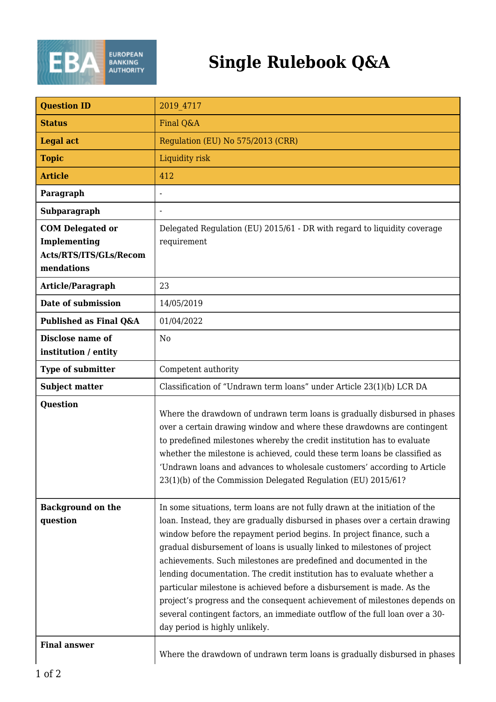

## **Single Rulebook Q&A**

| <b>Question ID</b>                                                              | 2019 4717                                                                                                                                                                                                                                                                                                                                                                                                                                                                                                                                                                                                                                                                                                 |
|---------------------------------------------------------------------------------|-----------------------------------------------------------------------------------------------------------------------------------------------------------------------------------------------------------------------------------------------------------------------------------------------------------------------------------------------------------------------------------------------------------------------------------------------------------------------------------------------------------------------------------------------------------------------------------------------------------------------------------------------------------------------------------------------------------|
| <b>Status</b>                                                                   | Final Q&A                                                                                                                                                                                                                                                                                                                                                                                                                                                                                                                                                                                                                                                                                                 |
| <b>Legal act</b>                                                                | Regulation (EU) No 575/2013 (CRR)                                                                                                                                                                                                                                                                                                                                                                                                                                                                                                                                                                                                                                                                         |
| <b>Topic</b>                                                                    | Liquidity risk                                                                                                                                                                                                                                                                                                                                                                                                                                                                                                                                                                                                                                                                                            |
| <b>Article</b>                                                                  | 412                                                                                                                                                                                                                                                                                                                                                                                                                                                                                                                                                                                                                                                                                                       |
| Paragraph                                                                       | $\blacksquare$                                                                                                                                                                                                                                                                                                                                                                                                                                                                                                                                                                                                                                                                                            |
| <b>Subparagraph</b>                                                             |                                                                                                                                                                                                                                                                                                                                                                                                                                                                                                                                                                                                                                                                                                           |
| <b>COM Delegated or</b><br>Implementing<br>Acts/RTS/ITS/GLs/Recom<br>mendations | Delegated Regulation (EU) 2015/61 - DR with regard to liquidity coverage<br>requirement                                                                                                                                                                                                                                                                                                                                                                                                                                                                                                                                                                                                                   |
| Article/Paragraph                                                               | 23                                                                                                                                                                                                                                                                                                                                                                                                                                                                                                                                                                                                                                                                                                        |
| Date of submission                                                              | 14/05/2019                                                                                                                                                                                                                                                                                                                                                                                                                                                                                                                                                                                                                                                                                                |
| Published as Final Q&A                                                          | 01/04/2022                                                                                                                                                                                                                                                                                                                                                                                                                                                                                                                                                                                                                                                                                                |
| Disclose name of<br>institution / entity                                        | N <sub>0</sub>                                                                                                                                                                                                                                                                                                                                                                                                                                                                                                                                                                                                                                                                                            |
| <b>Type of submitter</b>                                                        | Competent authority                                                                                                                                                                                                                                                                                                                                                                                                                                                                                                                                                                                                                                                                                       |
| <b>Subject matter</b>                                                           | Classification of "Undrawn term loans" under Article 23(1)(b) LCR DA                                                                                                                                                                                                                                                                                                                                                                                                                                                                                                                                                                                                                                      |
| <b>Question</b>                                                                 | Where the drawdown of undrawn term loans is gradually disbursed in phases<br>over a certain drawing window and where these drawdowns are contingent<br>to predefined milestones whereby the credit institution has to evaluate<br>whether the milestone is achieved, could these term loans be classified as<br>'Undrawn loans and advances to wholesale customers' according to Article<br>23(1)(b) of the Commission Delegated Regulation (EU) 2015/61?                                                                                                                                                                                                                                                 |
| <b>Background on the</b><br>question                                            | In some situations, term loans are not fully drawn at the initiation of the<br>loan. Instead, they are gradually disbursed in phases over a certain drawing<br>window before the repayment period begins. In project finance, such a<br>gradual disbursement of loans is usually linked to milestones of project<br>achievements. Such milestones are predefined and documented in the<br>lending documentation. The credit institution has to evaluate whether a<br>particular milestone is achieved before a disbursement is made. As the<br>project's progress and the consequent achievement of milestones depends on<br>several contingent factors, an immediate outflow of the full loan over a 30- |
|                                                                                 | day period is highly unlikely.                                                                                                                                                                                                                                                                                                                                                                                                                                                                                                                                                                                                                                                                            |